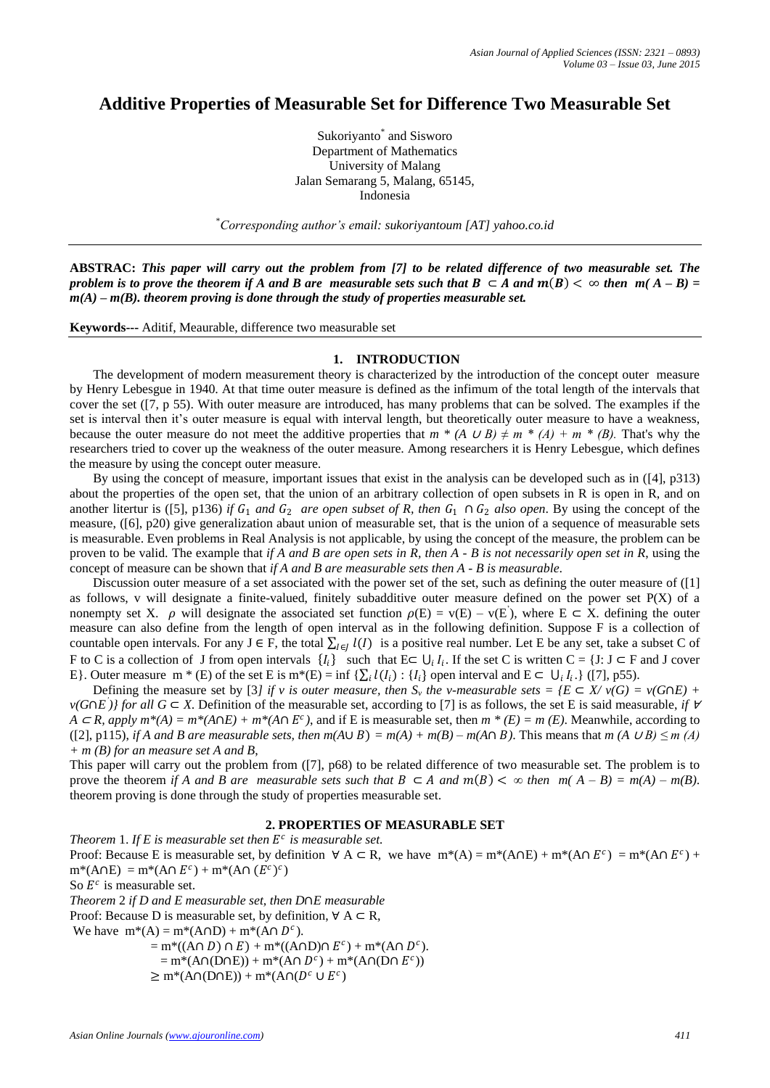# **Additive Properties of Measurable Set for Difference Two Measurable Set**

Sukoriyanto\* and Sisworo Department of Mathematics University of Malang Jalan Semarang 5, Malang, 65145, Indonesia

\**Corresponding author's email: sukoriyantoum [AT] yahoo.co.id*

**ABSTRAC:** *This paper will carry out the problem from [7] to be related difference of two measurable set. The problem is to prove the theorem if A and B are measurable sets such that*  $B \subset A$  *and*  $m(B) < \infty$  *then*  $m(A - B) =$ *m(A) – m(B). theorem proving is done through the study of properties measurable set.*

**Keywords---** Aditif, Meaurable, difference two measurable set

# **1. INTRODUCTION**

The development of modern measurement theory is characterized by the introduction of the concept outer measure by Henry Lebesgue in 1940. At that time outer measure is defined as the infimum of the total length of the intervals that cover the set ([7, p 55). With outer measure are introduced, has many problems that can be solved. The examples if the set is interval then it's outer measure is equal with interval length, but theoretically outer measure to have a weakness, because the outer measure do not meet the additive properties that  $m * (A \cup B) \neq m * (A) + m * (B)$ . That's why the researchers tried to cover up the weakness of the outer measure. Among researchers it is Henry Lebesgue, which defines the measure by using the concept outer measure.

By using the concept of measure, important issues that exist in the analysis can be developed such as in ([4], p313) about the properties of the open set, that the union of an arbitrary collection of open subsets in R is open in R, and on another litertur is ([5], p136) *if*  $G_1$  *and*  $G_2$  *are open subset of R, then*  $G_1 \cap G_2$  *also open*. By using the concept of the measure, ([6], p20) give generalization abaut union of measurable set, that is the union of a sequence of measurable sets is measurable. Even problems in Real Analysis is not applicable, by using the concept of the measure, the problem can be proven to be valid. The example that *if A and B are open sets in R, then A - B is not necessarily open set in R*, using the concept of measure can be shown that *if A and B are measurable sets then A - B is measurable*.

Discussion outer measure of a set associated with the power set of the set, such as defining the outer measure of ([1] as follows, v will designate a finite-valued, finitely subadditive outer measure defined on the power set  $P(X)$  of a nonempty set X.  $\rho$  will designate the associated set function  $\rho(E) = v(E) - v(E)$ , where  $E \subset X$ . defining the outer measure can also define from the length of open interval as in the following definition. Suppose F is a collection of countable open intervals. For any  $J \in F$ , the total  $\sum_{I \in J} l(I)$  is a positive real number. Let E be any set, take a subset C of F to C is a collection of J from open intervals  $\{I_i\}$  such that E⊂  $\bigcup_i I_i$ . If the set C is written C =  $\{J : J \subset F \text{ and } J \text{ cover } I\}$ E}. Outer measure  $m * (E)$  of the set E is  $m^*(E) = \inf \{ \sum_i l(I_i) : \{I_i\}$  open interval and  $E \subset \bigcup_i I_i$ .} ([7], p55).

Defining the measure set by [3*] if v is outer measure, then*  $S_v$  *the v-measurable sets* = { $E \subset X/v(G) = v(G \cap E) +$ *v(G*∩*E ' )} for all G* ⊂ *X*. Definition of the measurable set, according to [7] is as follows, the set E is said measurable, *if* <sup>∀</sup>  $A \subset R$ , apply  $m^*(A) = m^*(A \cap E) + m^*(A \cap E^c)$ , and if E is measurable set, then  $m^*(E) = m(E)$ . Meanwhile, according to ([2], p115), *if A and B are measurable sets, then m(A*∪ *B*) =  $m(A) + m(B) - m(A \cap B)$ . This means that  $m(A \cup B) \le m(A)$ *+ m (B) for an measure set A and B*,

This paper will carry out the problem from ([7], p68) to be related difference of two measurable set. The problem is to prove the theorem *if A and B are measurable sets such that*  $B \subset A$  *and*  $m(B) < \infty$  *then*  $m(A - B) = m(A) - m(B)$ . theorem proving is done through the study of properties measurable set.

# **2. PROPERTIES OF MEASURABLE SET**

Theorem 1. If E is measurable set then  $E^c$  is measurable set. Proof: Because E is measurable set, by definition  $\forall A \subset R$ , we have  $m^*(A) = m^*(A \cap E) + m^*(A \cap E^c) = m^*(A \cap E^c) +$  $m^*(A \cap E) = m^*(A \cap E^c) + m^*(A \cap (E^c)^c)$ So  $E^c$  is measurable set. *Theorem* 2 *if D and E measurable set, then D*∩*E measurable* Proof: Because D is measurable set, by definition,  $\forall A \subset R$ , We have  $m^*(A) = m^*(A \cap D) + m^*(A \cap D^c)$ .  $= m^*((A \cap D) \cap E) + m^*((A \cap D) \cap E^c) + m^*(A \cap D^c).$  $= m^*(A \cap (D \cap E)) + m^*(A \cap D^c) + m^*(A \cap (D \cap E^c))$ 

 $\geq m^*(A \cap (D \cap E)) + m^*(A \cap (D^c \cup E^c))$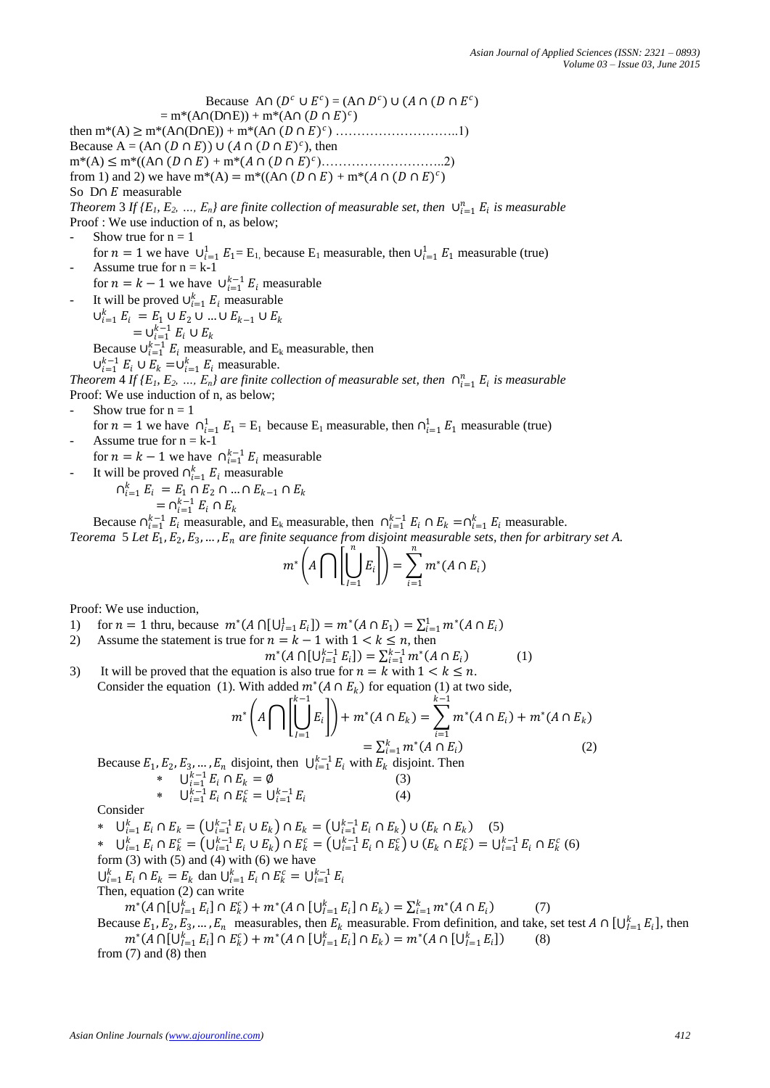Because A $\cap$  ( $D^c \cup E^c$ ) = (A $\cap$   $D^c$ )  $\cup$  (A $\cap$  (D $\cap$   $E^c$ )  $= m^*(A \cap (D \cap E)) + m^*(A \cap (D \cap E)^c)$ then m\*(A) ≥ m\*(A∩(D∩E)) + m\*(A∩ ( ∩ ) ) ………………………..1) Because  $A = (A \cap (D \cap E)) \cup (A \cap (D \cap E)^c)$ , then  $m^*(A) \le m^*((A \cap (D \cap E) + m^*(A \cap (D \cap E)^c) \dots \dots \dots \dots \dots \dots \dots \dots \dots)$ from 1) and 2) we have  $m^*(A) = m^*((A \cap (D \cap E) + m^*(A \cap (D \cap E)^c))$ So D∩  $E$  measurable *Theorem* 3 *If*  $\{E_1, E_2, ..., E_n\}$  are finite collection of measurable set, then  $\cup_{i=1}^n E_i$  is measurable Proof : We use induction of n, as below; Show true for  $n = 1$ for  $n = 1$  we have  $\cup_{i=1}^{1} E_1 = E_1$ , because  $E_1$  measurable, then  $\cup_{i=1}^{1} E_1$  measurable (true) Assume true for  $n = k-1$ for  $n = k - 1$  we have  $\bigcup_{i=1}^{k-1} E_i$  measurable - It will be proved  $\bigcup_{i=1}^{k} E_i$  measurable  $\bigcup_{i=1}^{k} E_i = E_1 \cup E_2 \cup ... \cup E_{k-1} \cup E_k$  $=\cup_{i=1}^{k-1} E_i \cup E_k$ Because  $\bigcup_{i=1}^{k-1} E_i$  measurable, and E<sub>k</sub> measurable, then  $\bigcup_{i=1}^{k-1} E_i \cup E_k = \bigcup_{i=1}^{k} E_i$  measurable. *Theorem* 4 *If*  $\{E_1, E_2, ..., E_n\}$  are finite collection of measurable set, then  $\bigcap_{i=1}^n E_i$  is measurable Proof: We use induction of n, as below; Show true for  $n = 1$ for  $n = 1$  we have  $\bigcap_{i=1}^{1} E_1 = E_1$  because  $E_1$  measurable, then  $\bigcap_{i=1}^{1} E_1$  measurable (true) Assume true for  $n = k-1$ for  $n = k - 1$  we have  $\bigcap_{i=1}^{k-1} E_i$  measurable - It will be proved  $\bigcap_{i=1}^k E_i$  measurable  $\bigcap_{i=1}^k E_i = E_1 \cap E_2 \cap ... \cap E_{k-1} \cap E_k$  $=$   $\bigcap_{i=1}^{k-1} E_i \cap E_k$ Because  $\bigcap_{i=1}^{k-1} E_i$  measurable, and  $E_k$  measurable, then  $\bigcap_{i=1}^{k-1} E_i \cap E_k = \bigcap_{i=1}^{k} E_i$  measurable. *Teorema* 5 Let  $E_1, E_2, E_3, ..., E_n$  are finite sequance from disjoint measurable sets, then for arbitrary set A.  $m^*$   $\mid$   $A \mid$   $\mid$   $\mid$   $\mid$   $\mid$   $\mid$   $E_i$  $\boldsymbol{n}$  $I=1$  $| \cdot | = \sum m^*(A \cap E_i)$  $\boldsymbol{n}$  $i=1$ 

Proof: We use induction,

- 1) for  $n = 1$  thru, because  $m^*(A \cap [\bigcup_{i=1}^1 E_i]) = m^*(A \cap E_1) = \sum_{i=1}^1 m^*(A \cap E_i)$
- 2) Assume the statement is true for  $n = k 1$  with  $1 < k \le n$ , then
- $m^*(A \cap [\bigcup_{i=1}^{k-1} E_i]) = \sum_{i=1}^{k-1} m^*(A \cap E_i)$ (1) 3) It will be proved that the equation is also true for  $n = k$  with  $1 \le k \le n$ .

Consider the equation (1). With added  $m^*(A \cap E_k)$  for equation (1) at two side,

$$
m^* \left( A \bigcap \left[ \bigcup_{l=1}^{k-1} E_i \right] \right) + m^* (A \cap E_k) = \sum_{i=1}^{k-1} m^* (A \cap E_i) + m^* (A \cap E_k)
$$
  
=  $\sum_{i=1}^k m^* (A \cap E_i)$  (2)

(4)

Because  $E_1, E_2, E_3, ..., E_n$  disjoint, then  $\bigcup_{i=1}^{k-1} E_i$  with  $E_k$  disjoint. Then

\* 
$$
\bigcup_{i=1}^{k-1} E_i \cap E_k = \emptyset
$$
 (3)  
\*  $\bigcup_{i=1}^{k-1} E_i \cap E_k^c = \bigcup_{i=1}^{k-1} E_i$  (4)

Consider

\*  $\bigcup_{i=1}^{k} E_i \cap E_k = (\bigcup_{i=1}^{k-1} E_i \cup E_k) \cap E_k = (\bigcup_{i=1}^{k-1} E_i \cap E_k) \cup (E_k \cap E_k)$  (5) \*  $\bigcup_{i=1}^{k} E_i \cap E_k^c = (\bigcup_{i=1}^{k-1} E_i \cup E_k) \cap E_k^c = (\bigcup_{i=1}^{k-1} E_i \cap E_k^c) \cup (E_k \cap E_k^c) = \bigcup_{i=1}^{k-1} E_i \cap E_k^c$  (6) form  $(3)$  with  $(5)$  and  $(4)$  with  $(6)$  we have  $\bigcup_{i=1}^{k} E_i \cap E_k = E_k$  dan  $\bigcup_{i=1}^{k} E_i \cap E_k^c = \bigcup_{i=1}^{k-1} E_i$ Then, equation (2) can write  $m^*(A \cap [\bigcup_{I=1}^k E_i] \cap E_k^c) + m^*(A \cap [\bigcup_{I=1}^k E_i] \cap E_k) = \sum_{i=1}^k m^*(A \cap E_i)$ (7) Because  $E_1, E_2, E_3, ..., E_n$  measurables, then  $E_k$  measurable. From definition, and take, set test  $A \cap [\bigcup_{l=1}^k E_i]$ , then

 $m^*(A \cap [\bigcup_{I=1}^k E_i] \cap E_k^c) + m^*(A \cap [\bigcup_{I=1}^k E_i] \cap E_k) = m^*(A \cap [\bigcup_{I=1}^k E_i]$  (8) from  $(7)$  and  $(8)$  then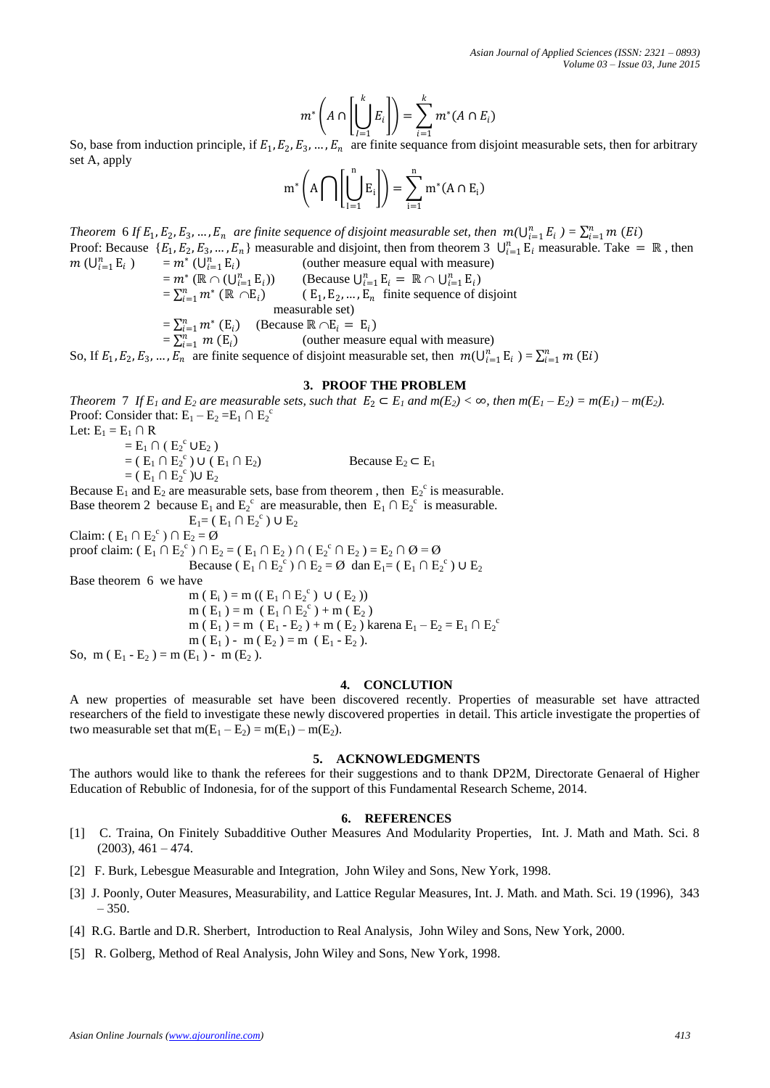$$
m^* \left( A \cap \left[ \bigcup_{i=1}^k E_i \right] \right) = \sum_{i=1}^k m^* (A \cap E_i)
$$

So, base from induction principle, if  $E_1, E_2, E_3, \ldots, E_n$  are finite sequance from disjoint measurable sets, then for arbitrary set A, apply

$$
m^*\left(A\bigcap\left[\bigcup_{i=1}^n E_i\right]\right)=\sum_{i=1}^n m^*(A\cap E_i)
$$

*Theorem* 6 *If*  $E_1, E_2, E_3, ..., E_n$  are finite sequence of disjoint measurable set, then  $m(\bigcup_{i=1}^n E_i) = \sum_{i=1}^n m(E_i)$ Proof: Because  $\{E_1, E_2, E_3, ..., E_n\}$  measurable and disjoint, then from theorem 3  $\bigcup_{i=1}^n E_i$  measurable. Take =  $\mathbb R$ , then  $m\left(\bigcup_{i=1}^n \mathrm{E}_i\right)$ ) =  $m^*$  ( $\bigcup_{i=1}^n E_i$ ) (outher measure equal with measure)

 $=m^*\left(\mathbb{R}\cap \left(\bigcup_{i=1}^n \mathrm{E}_i\right)\right)$ (Because  $\bigcup_{i=1}^{n} E_i = \mathbb{R} \cap \bigcup_{i=1}^{n} E_i$ )  $=\sum_{i=1}^nm^*\;(\mathbb{R}\;\!\cap\!\text{E}_i)$  $(E_1, E_2, \dots, E_n)$  finite sequence of disjoint measurable set)  $=\sum_{i=1}^n m^*$  (E<sub>i</sub>) (Because  $\mathbb{R} \cap E_i = E_i$ )  $=\sum_{i=1}^{n} m(E_i)$ (outher measure equal with measure)

So, If  $E_1, E_2, E_3, ..., E_n$  are finite sequence of disjoint measurable set, then  $m(\bigcup_{i=1}^n E_i) = \sum_{i=1}^n m(E_i)$ 

## **3. PROOF THE PROBLEM**

Theorem 7 If  $E_1$  and  $E_2$  are measurable sets, such that  $E_2 \subset E_1$  and  $m(E_2) < \infty$ , then  $m(E_1 - E_2) = m(E_1) - m(E_2)$ . Proof: Consider that:  $E_1 - E_2 = E_1 \cap E_2^c$ Let:  $E_1 = E_1 \cap R$ 

 $= E_1 \cap (E_2^c \cup E_2)$  $=$  (E<sub>1</sub>  $\cap$  E<sub>2</sub><sup>c</sup> Because  $E_2 \subset E_1$  $=$  (  $E_1 \cap E_2^c$  )U  $E_2$ 

Because  $E_1$  and  $E_2$  are measurable sets, base from theorem, then  $E_2^c$  is measurable. Base theorem 2 because  $E_1$  and  $E_2^c$  are measurable, then  $E_1 \cap E_2^c$  is measurable.

 $E_1 = (E_1 \cap E_2^c) \cup E_2$ Claim:  $(E_1 \cap E_2^c) \cap E_2 = \emptyset$ 

proof claim:  $(E_1 \cap E_2^c) \cap E_2 = (E_1 \cap E_2) \cap (E_2^c \cap E_2) = E_2 \cap \emptyset = \emptyset$ Because ( $E_1 \cap E_2^c$ )  $\cap E_2 = \emptyset$  dan  $E_1 = (E_1 \cap E_2^c) \cup E_2$ 

Base theorem 6 we have

 $m(E_i) = m((E_1 \cap E_2^c) \cup (E_2))$  $m(E_1) = m(E_1 \cap E_2^c) + m(E_2)$ m ( E<sub>1</sub> ) = m ( E<sub>1</sub> - E<sub>2</sub> ) + m ( E<sub>2</sub> ) karena E<sub>1</sub> – E<sub>2</sub> = E<sub>1</sub>  $\cap$  E<sub>2</sub><sup>c</sup>  $m(E_1) - m(E_2) = m(E_1 - E_2)$ .

So, m ( $E_1 - E_2$ ) = m ( $E_1$ ) - m ( $E_2$ ).

#### **4. CONCLUTION**

A new properties of measurable set have been discovered recently. Properties of measurable set have attracted researchers of the field to investigate these newly discovered properties in detail. This article investigate the properties of two measurable set that  $m(E_1 - E_2) = m(E_1) - m(E_2)$ .

# **5. ACKNOWLEDGMENTS**

The authors would like to thank the referees for their suggestions and to thank DP2M, Directorate Genaeral of Higher Education of Rebublic of Indonesia, for of the support of this Fundamental Research Scheme, 2014.

### **6. REFERENCES**

- [1] C. Traina, On Finitely Subadditive Outher Measures And Modularity Properties, Int. J. Math and Math. Sci. 8  $(2003)$ , 461 – 474.
- [2] F. Burk, Lebesgue Measurable and Integration, John Wiley and Sons, New York, 1998.
- [3] J. Poonly, Outer Measures, Measurability, and Lattice Regular Measures, Int. J. Math. and Math. Sci. 19 (1996), 343 – 350.
- [4] R.G. Bartle and D.R. Sherbert, Introduction to Real Analysis, John Wiley and Sons, New York, 2000.
- [5] R. Golberg, Method of Real Analysis, John Wiley and Sons, New York, 1998.